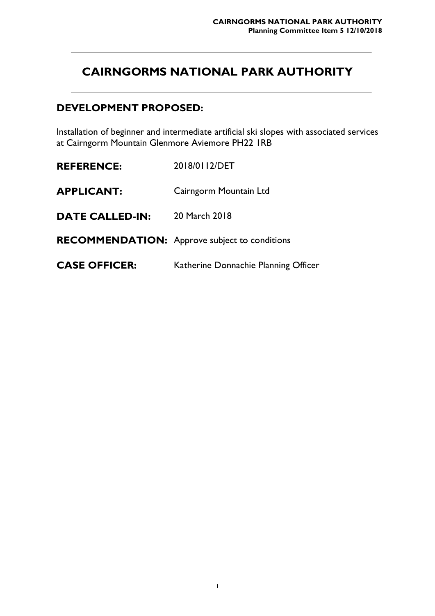# **CAIRNGORMS NATIONAL PARK AUTHORITY**

### **DEVELOPMENT PROPOSED:**

Installation of beginner and intermediate artificial ski slopes with associated services at Cairngorm Mountain Glenmore Aviemore PH22 1RB

**REFERENCE:** 2018/0112/DET **APPLICANT:** Cairngorm Mountain Ltd **DATE CALLED-IN:** 20 March 2018 **RECOMMENDATION:** Approve subject to conditions **CASE OFFICER:** Katherine Donnachie Planning Officer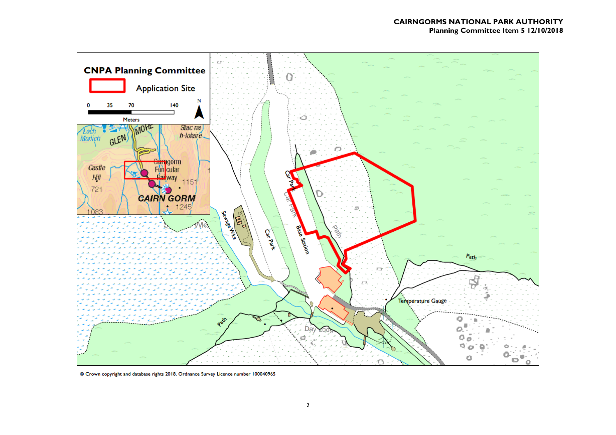

© Crown copyright and database rights 2018. Ordnance Survey Licence number 100040965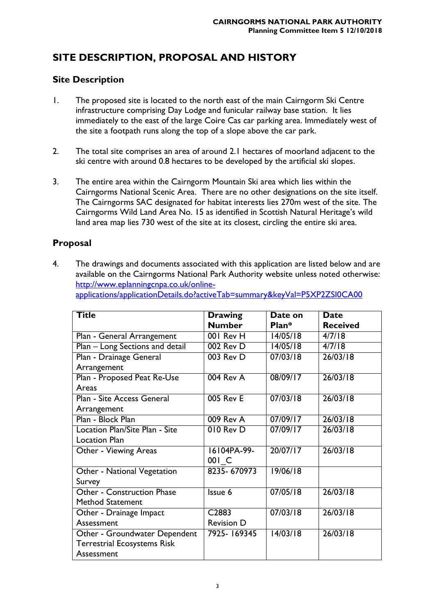## **SITE DESCRIPTION, PROPOSAL AND HISTORY**

### **Site Description**

- 1. The proposed site is located to the north east of the main Cairngorm Ski Centre infrastructure comprising Day Lodge and funicular railway base station. It lies immediately to the east of the large Coire Cas car parking area. Immediately west of the site a footpath runs along the top of a slope above the car park.
- 2. The total site comprises an area of around 2.1 hectares of moorland adjacent to the ski centre with around 0.8 hectares to be developed by the artificial ski slopes.
- 3. The entire area within the Cairngorm Mountain Ski area which lies within the Cairngorms National Scenic Area. There are no other designations on the site itself. The Cairngorms SAC designated for habitat interests lies 270m west of the site. The Cairngorms Wild Land Area No. 15 as identified in Scottish Natural Heritage's wild land area map lies 730 west of the site at its closest, circling the entire ski area.

### **Proposal**

4. The drawings and documents associated with this application are listed below and are available on the Cairngorms National Park Authority website unless noted otherwise: [http://www.eplanningcnpa.co.uk/online](http://www.eplanningcnpa.co.uk/online-applications/applicationDetails.do?activeTab=summary&keyVal=P5XP2ZSI0CA00)[applications/applicationDetails.do?activeTab=summary&keyVal=P5XP2ZSI0CA00](http://www.eplanningcnpa.co.uk/online-applications/applicationDetails.do?activeTab=summary&keyVal=P5XP2ZSI0CA00)

| <b>Title</b>                       | <b>Drawing</b>    | Date on  | <b>Date</b>     |
|------------------------------------|-------------------|----------|-----------------|
|                                    | <b>Number</b>     | Plan*    | <b>Received</b> |
| Plan - General Arrangement         | 001 Rev H         | 14/05/18 | 4/7/18          |
| Plan - Long Sections and detail    | 002 Rev D         | 14/05/18 | 4/7/18          |
| Plan - Drainage General            | 003 Rev D         | 07/03/18 | 26/03/18        |
| Arrangement                        |                   |          |                 |
| Plan - Proposed Peat Re-Use        | 004 Rev A         | 08/09/17 | 26/03/18        |
| Areas                              |                   |          |                 |
| Plan - Site Access General         | 005 Rev E         | 07/03/18 | 26/03/18        |
| Arrangement                        |                   |          |                 |
| Plan - Block Plan                  | 009 Rev A         | 07/09/17 | 26/03/18        |
| Location Plan/Site Plan - Site     | 010 Rev D         | 07/09/17 | 26/03/18        |
| <b>Location Plan</b>               |                   |          |                 |
| Other - Viewing Areas              | 16104PA-99-       | 20/07/17 | 26/03/18        |
|                                    | 001 C             |          |                 |
| Other - National Vegetation        | 8235-670973       | 19/06/18 |                 |
| Survey                             |                   |          |                 |
| <b>Other - Construction Phase</b>  | Issue 6           | 07/05/18 | 26/03/18        |
| Method Statement                   |                   |          |                 |
| Other - Drainage Impact            | C <sub>2883</sub> | 07/03/18 | 26/03/18        |
| Assessment                         | <b>Revision D</b> |          |                 |
| Other - Groundwater Dependent      | 7925-169345       | 14/03/18 | 26/03/18        |
| <b>Terrestrial Ecosystems Risk</b> |                   |          |                 |
| Assessment                         |                   |          |                 |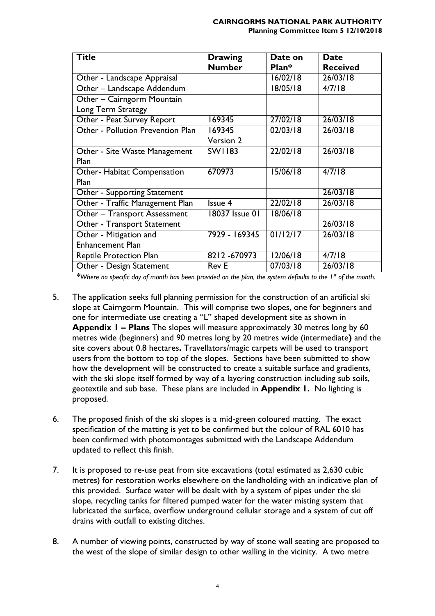| <b>Title</b>                      | <b>Drawing</b>  | Date on  | <b>Date</b>     |
|-----------------------------------|-----------------|----------|-----------------|
|                                   | <b>Number</b>   | Plan*    | <b>Received</b> |
| Other - Landscape Appraisal       |                 | 16/02/18 | 26/03/18        |
| Other - Landscape Addendum        |                 | 18/05/18 | 4/7/18          |
| Other - Cairngorm Mountain        |                 |          |                 |
| Long Term Strategy                |                 |          |                 |
| Other - Peat Survey Report        | 169345          | 27/02/18 | 26/03/18        |
| Other - Pollution Prevention Plan | 169345          | 02/03/18 | 26/03/18        |
|                                   | Version 2       |          |                 |
| Other - Site Waste Management     | <b>SW1183</b>   | 22/02/18 | 26/03/18        |
| Plan                              |                 |          |                 |
| Other- Habitat Compensation       | 670973          | 15/06/18 | 4/7/18          |
| Plan                              |                 |          |                 |
| Other - Supporting Statement      |                 |          | 26/03/18        |
| Other - Traffic Management Plan   | Issue 4         | 22/02/18 | 26/03/18        |
| Other - Transport Assessment      | 18037 Issue 01  | 18/06/18 |                 |
| Other - Transport Statement       |                 |          | 26/03/18        |
| Other - Mitigation and            | $7929 - 169345$ | 01/12/17 | 26/03/18        |
| <b>Enhancement Plan</b>           |                 |          |                 |
| <b>Reptile Protection Plan</b>    | 8212-670973     | 12/06/18 | 4/7/18          |
| Other - Design Statement          | <b>Rev E</b>    | 07/03/18 | 26/03/18        |

*\*Where no specific day of month has been provided on the plan, the system defaults to the 1st of the month.*

- 5. The application seeks full planning permission for the construction of an artificial ski slope at Cairngorm Mountain. This will comprise two slopes, one for beginners and one for intermediate use creating a "L" shaped development site as shown in **Appendix 1 – Plans** The slopes will measure approximately 30 metres long by 60 metres wide (beginners) and 90 metres long by 20 metres wide (intermediate**)** and the site covers about 0.8 hectares**.** Travellators/magic carpets will be used to transport users from the bottom to top of the slopes. Sections have been submitted to show how the development will be constructed to create a suitable surface and gradients, with the ski slope itself formed by way of a layering construction including sub soils, geotextile and sub base. These plans are included in **Appendix 1.** No lighting is proposed.
- 6. The proposed finish of the ski slopes is a mid-green coloured matting. The exact specification of the matting is yet to be confirmed but the colour of RAL 6010 has been confirmed with photomontages submitted with the Landscape Addendum updated to reflect this finish.
- 7. It is proposed to re-use peat from site excavations (total estimated as 2,630 cubic metres) for restoration works elsewhere on the landholding with an indicative plan of this provided. Surface water will be dealt with by a system of pipes under the ski slope, recycling tanks for filtered pumped water for the water misting system that lubricated the surface, overflow underground cellular storage and a system of cut off drains with outfall to existing ditches.
- 8. A number of viewing points, constructed by way of stone wall seating are proposed to the west of the slope of similar design to other walling in the vicinity. A two metre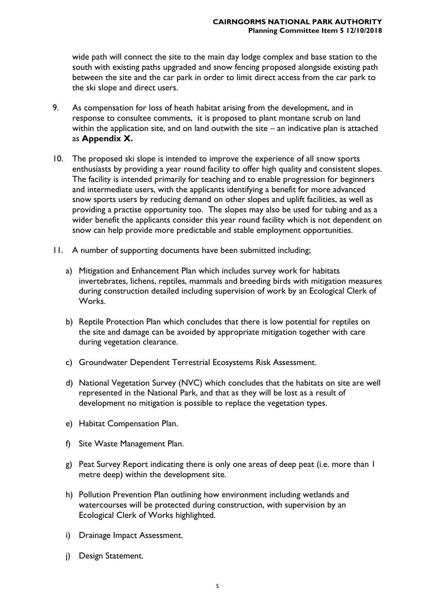wide path will connect the site to the main day lodge complex and base station to the south with existing paths upgraded and snow fencing proposed alongside existing path between the site and the car park in order to limit direct access from the car park to the ski slope and direct users.

- 9. As compensation for loss of heath habitat arising from the development, and in response to consultee comments, it is proposed to plant montane scrub on land within the application site, and on land outwith the site – an indicative plan is attached as **Appendix X.**
- 10. The proposed ski slope is intended to improve the experience of all snow sports enthusiasts by providing a year round facility to offer high quality and consistent slopes. The facility is intended primarily for teaching and to enable progression for beginners and intermediate users, with the applicants identifying a benefit for more advanced snow sports users by reducing demand on other slopes and uplift facilities, as well as providing a practise opportunity too. The slopes may also be used for tubing and as a wider benefit the applicants consider this year round facility which is not dependent on snow can help provide more predictable and stable employment opportunities.
- 11. A number of supporting documents have been submitted including;
	- a) Mitigation and Enhancement Plan which includes survey work for habitats invertebrates, lichens, reptiles, mammals and breeding birds with mitigation measures during construction detailed including supervision of work by an Ecological Clerk of Works.
	- b) Reptile Protection Plan which concludes that there is low potential for reptiles on the site and damage can be avoided by appropriate mitigation together with care during vegetation clearance.
	- c) Groundwater Dependent Terrestrial Ecosystems Risk Assessment.
	- d) National Vegetation Survey (NVC) which concludes that the habitats on site are well represented in the National Park, and that as they will be lost as a result of development no mitigation is possible to replace the vegetation types.
	- e) Habitat Compensation Plan.
	- f) Site Waste Management Plan.
	- g) Peat Survey Report indicating there is only one areas of deep peat (i.e. more than 1 metre deep) within the development site.
	- h) Pollution Prevention Plan outlining how environment including wetlands and watercourses will be protected during construction, with supervision by an Ecological Clerk of Works highlighted.
	- i) Drainage Impact Assessment.
	- j) Design Statement.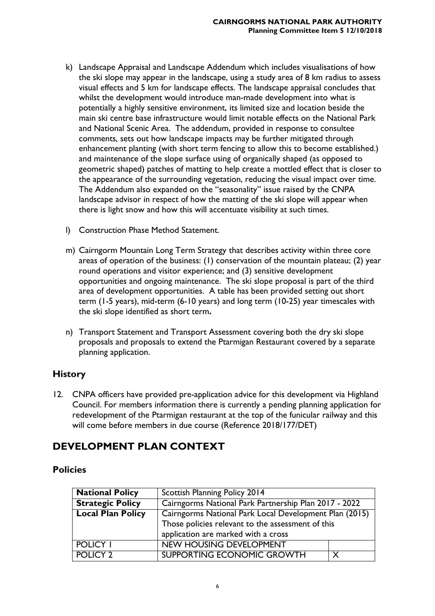- k) Landscape Appraisal and Landscape Addendum which includes visualisations of how the ski slope may appear in the landscape, using a study area of 8 km radius to assess visual effects and 5 km for landscape effects. The landscape appraisal concludes that whilst the development would introduce man-made development into what is potentially a highly sensitive environment, its limited size and location beside the main ski centre base infrastructure would limit notable effects on the National Park and National Scenic Area. The addendum, provided in response to consultee comments, sets out how landscape impacts may be further mitigated through enhancement planting (with short term fencing to allow this to become established.) and maintenance of the slope surface using of organically shaped (as opposed to geometric shaped) patches of matting to help create a mottled effect that is closer to the appearance of the surrounding vegetation, reducing the visual impact over time. The Addendum also expanded on the "seasonality" issue raised by the CNPA landscape advisor in respect of how the matting of the ski slope will appear when there is light snow and how this will accentuate visibility at such times.
- l) Construction Phase Method Statement.
- m) Cairngorm Mountain Long Term Strategy that describes activity within three core areas of operation of the business: (1) conservation of the mountain plateau; (2) year round operations and visitor experience; and (3) sensitive development opportunities and ongoing maintenance. The ski slope proposal is part of the third area of development opportunities. A table has been provided setting out short term (1-5 years), mid-term (6-10 years) and long term (10-25) year timescales with the ski slope identified as short term**.**
- n) Transport Statement and Transport Assessment covering both the dry ski slope proposals and proposals to extend the Ptarmigan Restaurant covered by a separate planning application.

### **History**

12. CNPA officers have provided pre-application advice for this development via Highland Council. For members information there is currently a pending planning application for redevelopment of the Ptarmigan restaurant at the top of the funicular railway and this will come before members in due course (Reference 2018/177/DET)

### **DEVELOPMENT PLAN CONTEXT**

### **Policies**

| <b>National Policy</b>   | Scottish Planning Policy 2014                          |  |
|--------------------------|--------------------------------------------------------|--|
| <b>Strategic Policy</b>  | Cairngorms National Park Partnership Plan 2017 - 2022  |  |
| <b>Local Plan Policy</b> | Cairngorms National Park Local Development Plan (2015) |  |
|                          | Those policies relevant to the assessment of this      |  |
|                          | application are marked with a cross                    |  |
| <b>POLICY I</b>          | <b>NEW HOUSING DEVELOPMENT</b>                         |  |
| <b>POLICY 2</b>          | SUPPORTING ECONOMIC GROWTH                             |  |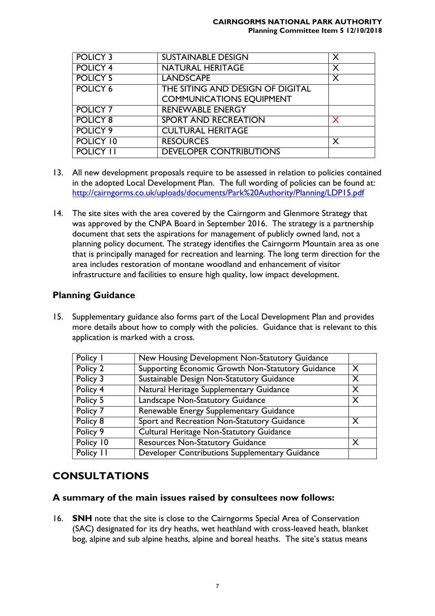#### **CAIRNGORMS NATIONAL PARK AUTHORITY Planning Committee Item 5 12/10/2018**

| <b>POLICY 3</b>  | <b>SUSTAINABLE DESIGN</b>        | X |
|------------------|----------------------------------|---|
| <b>POLICY 4</b>  | <b>NATURAL HERITAGE</b>          | X |
| <b>POLICY 5</b>  | <b>LANDSCAPE</b>                 | X |
| <b>POLICY 6</b>  | THE SITING AND DESIGN OF DIGITAL |   |
|                  | <b>COMMUNICATIONS EQUIPMENT</b>  |   |
| <b>POLICY 7</b>  | <b>RENEWABLE ENERGY</b>          |   |
| <b>POLICY 8</b>  | <b>SPORT AND RECREATION</b>      |   |
| POLICY 9         | <b>CULTURAL HERITAGE</b>         |   |
| POLICY 10        | <b>RESOURCES</b>                 | X |
| <b>POLICY 11</b> | <b>DEVELOPER CONTRIBUTIONS</b>   |   |

- 13. All new development proposals require to be assessed in relation to policies contained in the adopted Local Development Plan. The full wording of policies can be found at: <http://cairngorms.co.uk/uploads/documents/Park%20Authority/Planning/LDP15.pdf>
- 14. The site sites with the area covered by the Cairngorm and Glenmore Strategy that was approved by the CNPA Board in September 2016. The strategy is a partnership document that sets the aspirations for management of publicly owned land, not a planning policy document. The strategy identifies the Cairngorm Mountain area as one that is principally managed for recreation and learning. The long term direction for the area includes restoration of montane woodland and enhancement of visitor infrastructure and facilities to ensure high quality, low impact development.

### **Planning Guidance**

15. Supplementary guidance also forms part of the Local Development Plan and provides more details about how to comply with the policies. Guidance that is relevant to this application is marked with a cross.

| Policy I  | New Housing Development Non-Statutory Guidance    |          |
|-----------|---------------------------------------------------|----------|
| Policy 2  | Supporting Economic Growth Non-Statutory Guidance | $\times$ |
| Policy 3  | Sustainable Design Non-Statutory Guidance         | X        |
| Policy 4  | Natural Heritage Supplementary Guidance           | X        |
| Policy 5  | Landscape Non-Statutory Guidance                  | X        |
| Policy 7  | Renewable Energy Supplementary Guidance           |          |
| Policy 8  | Sport and Recreation Non-Statutory Guidance       | X        |
| Policy 9  | <b>Cultural Heritage Non-Statutory Guidance</b>   |          |
| Policy 10 | <b>Resources Non-Statutory Guidance</b>           | X        |
| Policy 11 | Developer Contributions Supplementary Guidance    |          |

### **CONSULTATIONS**

#### **A summary of the main issues raised by consultees now follows:**

16. **SNH** note that the site is close to the Cairngorms Special Area of Conservation (SAC) designated for its dry heaths, wet heathland with cross-leaved heath, blanket bog, alpine and sub alpine heaths, alpine and boreal heaths. The site's status means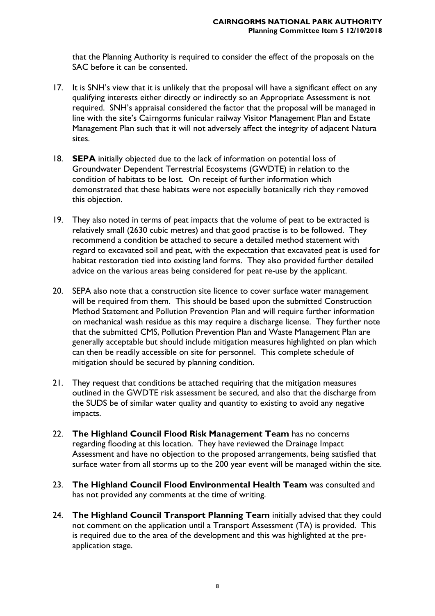that the Planning Authority is required to consider the effect of the proposals on the SAC before it can be consented.

- 17. It is SNH's view that it is unlikely that the proposal will have a significant effect on any qualifying interests either directly or indirectly so an Appropriate Assessment is not required. SNH's appraisal considered the factor that the proposal will be managed in line with the site's Cairngorms funicular railway Visitor Management Plan and Estate Management Plan such that it will not adversely affect the integrity of adjacent Natura sites.
- 18. **SEPA** initially objected due to the lack of information on potential loss of Groundwater Dependent Terrestrial Ecosystems (GWDTE) in relation to the condition of habitats to be lost. On receipt of further information which demonstrated that these habitats were not especially botanically rich they removed this objection.
- 19. They also noted in terms of peat impacts that the volume of peat to be extracted is relatively small (2630 cubic metres) and that good practise is to be followed. They recommend a condition be attached to secure a detailed method statement with regard to excavated soil and peat, with the expectation that excavated peat is used for habitat restoration tied into existing land forms. They also provided further detailed advice on the various areas being considered for peat re-use by the applicant.
- 20. SEPA also note that a construction site licence to cover surface water management will be required from them. This should be based upon the submitted Construction Method Statement and Pollution Prevention Plan and will require further information on mechanical wash residue as this may require a discharge license. They further note that the submitted CMS, Pollution Prevention Plan and Waste Management Plan are generally acceptable but should include mitigation measures highlighted on plan which can then be readily accessible on site for personnel. This complete schedule of mitigation should be secured by planning condition.
- 21. They request that conditions be attached requiring that the mitigation measures outlined in the GWDTE risk assessment be secured, and also that the discharge from the SUDS be of similar water quality and quantity to existing to avoid any negative impacts.
- 22. **The Highland Council Flood Risk Management Team** has no concerns regarding flooding at this location. They have reviewed the Drainage Impact Assessment and have no objection to the proposed arrangements, being satisfied that surface water from all storms up to the 200 year event will be managed within the site.
- 23. **The Highland Council Flood Environmental Health Team** was consulted and has not provided any comments at the time of writing.
- 24. **The Highland Council Transport Planning Team** initially advised that they could not comment on the application until a Transport Assessment (TA) is provided. This is required due to the area of the development and this was highlighted at the preapplication stage.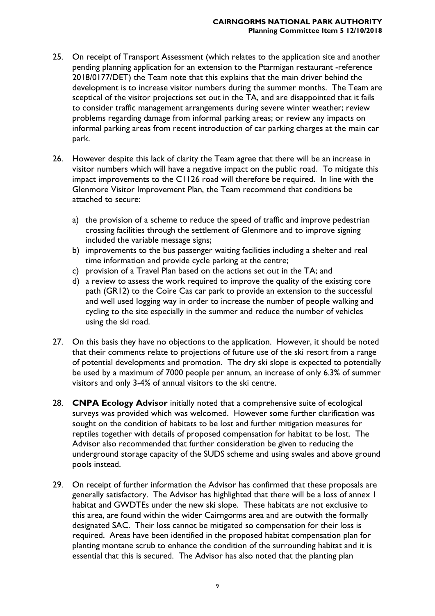- 25. On receipt of Transport Assessment (which relates to the application site and another pending planning application for an extension to the Ptarmigan restaurant -reference 2018/0177/DET) the Team note that this explains that the main driver behind the development is to increase visitor numbers during the summer months. The Team are sceptical of the visitor projections set out in the TA, and are disappointed that it fails to consider traffic management arrangements during severe winter weather; review problems regarding damage from informal parking areas; or review any impacts on informal parking areas from recent introduction of car parking charges at the main car park.
- 26. However despite this lack of clarity the Team agree that there will be an increase in visitor numbers which will have a negative impact on the public road. To mitigate this impact improvements to the C1126 road will therefore be required. In line with the Glenmore Visitor Improvement Plan, the Team recommend that conditions be attached to secure:
	- a) the provision of a scheme to reduce the speed of traffic and improve pedestrian crossing facilities through the settlement of Glenmore and to improve signing included the variable message signs;
	- b) improvements to the bus passenger waiting facilities including a shelter and real time information and provide cycle parking at the centre;
	- c) provision of a Travel Plan based on the actions set out in the TA; and
	- d) a review to assess the work required to improve the quality of the existing core path (GR12) to the Coire Cas car park to provide an extension to the successful and well used logging way in order to increase the number of people walking and cycling to the site especially in the summer and reduce the number of vehicles using the ski road.
- 27. On this basis they have no objections to the application. However, it should be noted that their comments relate to projections of future use of the ski resort from a range of potential developments and promotion. The dry ski slope is expected to potentially be used by a maximum of 7000 people per annum, an increase of only 6.3% of summer visitors and only 3-4% of annual visitors to the ski centre.
- 28. **CNPA Ecology Advisor** initially noted that a comprehensive suite of ecological surveys was provided which was welcomed. However some further clarification was sought on the condition of habitats to be lost and further mitigation measures for reptiles together with details of proposed compensation for habitat to be lost. The Advisor also recommended that further consideration be given to reducing the underground storage capacity of the SUDS scheme and using swales and above ground pools instead.
- 29. On receipt of further information the Advisor has confirmed that these proposals are generally satisfactory. The Advisor has highlighted that there will be a loss of annex 1 habitat and GWDTEs under the new ski slope. These habitats are not exclusive to this area, are found within the wider Cairngorms area and are outwith the formally designated SAC. Their loss cannot be mitigated so compensation for their loss is required. Areas have been identified in the proposed habitat compensation plan for planting montane scrub to enhance the condition of the surrounding habitat and it is essential that this is secured. The Advisor has also noted that the planting plan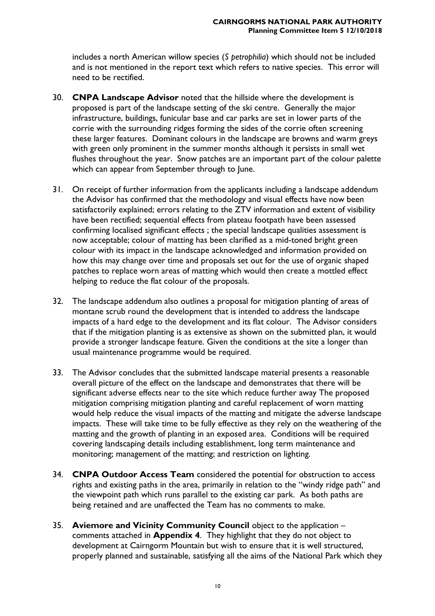includes a north American willow species (*S petrophilia*) which should not be included and is not mentioned in the report text which refers to native species. This error will need to be rectified.

- 30. **CNPA Landscape Advisor** noted that the hillside where the development is proposed is part of the landscape setting of the ski centre. Generally the major infrastructure, buildings, funicular base and car parks are set in lower parts of the corrie with the surrounding ridges forming the sides of the corrie often screening these larger features. Dominant colours in the landscape are browns and warm greys with green only prominent in the summer months although it persists in small wet flushes throughout the year. Snow patches are an important part of the colour palette which can appear from September through to June.
- 31. On receipt of further information from the applicants including a landscape addendum the Advisor has confirmed that the methodology and visual effects have now been satisfactorily explained; errors relating to the ZTV information and extent of visibility have been rectified; sequential effects from plateau footpath have been assessed confirming localised significant effects ; the special landscape qualities assessment is now acceptable; colour of matting has been clarified as a mid-toned bright green colour with its impact in the landscape acknowledged and information provided on how this may change over time and proposals set out for the use of organic shaped patches to replace worn areas of matting which would then create a mottled effect helping to reduce the flat colour of the proposals.
- 32. The landscape addendum also outlines a proposal for mitigation planting of areas of montane scrub round the development that is intended to address the landscape impacts of a hard edge to the development and its flat colour. The Advisor considers that if the mitigation planting is as extensive as shown on the submitted plan, it would provide a stronger landscape feature. Given the conditions at the site a longer than usual maintenance programme would be required.
- 33. The Advisor concludes that the submitted landscape material presents a reasonable overall picture of the effect on the landscape and demonstrates that there will be significant adverse effects near to the site which reduce further away The proposed mitigation comprising mitigation planting and careful replacement of worn matting would help reduce the visual impacts of the matting and mitigate the adverse landscape impacts. These will take time to be fully effective as they rely on the weathering of the matting and the growth of planting in an exposed area. Conditions will be required covering landscaping details including establishment, long term maintenance and monitoring; management of the matting; and restriction on lighting.
- 34. **CNPA Outdoor Access Team** considered the potential for obstruction to access rights and existing paths in the area, primarily in relation to the "windy ridge path" and the viewpoint path which runs parallel to the existing car park. As both paths are being retained and are unaffected the Team has no comments to make.
- 35. **Aviemore and Vicinity Community Council** object to the application comments attached in **Appendix 4**. They highlight that they do not object to development at Cairngorm Mountain but wish to ensure that it is well structured, properly planned and sustainable, satisfying all the aims of the National Park which they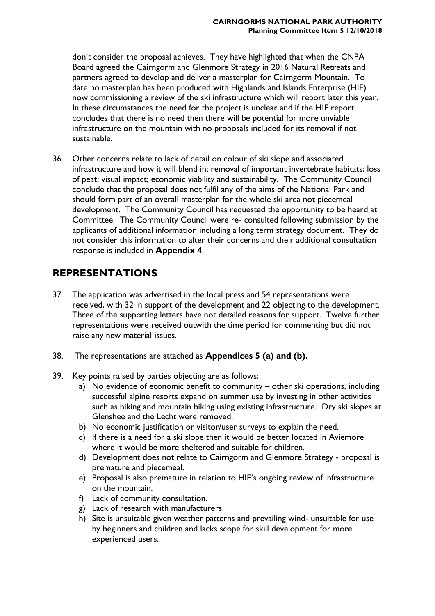don't consider the proposal achieves. They have highlighted that when the CNPA Board agreed the Cairngorm and Glenmore Strategy in 2016 Natural Retreats and partners agreed to develop and deliver a masterplan for Cairngorm Mountain. To date no masterplan has been produced with Highlands and Islands Enterprise (HIE) now commissioning a review of the ski infrastructure which will report later this year. In these circumstances the need for the project is unclear and if the HIE report concludes that there is no need then there will be potential for more unviable infrastructure on the mountain with no proposals included for its removal if not sustainable.

36. Other concerns relate to lack of detail on colour of ski slope and associated infrastructure and how it will blend in; removal of important invertebrate habitats; loss of peat; visual impact; economic viability and sustainability. The Community Council conclude that the proposal does not fulfil any of the aims of the National Park and should form part of an overall masterplan for the whole ski area not piecemeal development. The Community Council has requested the opportunity to be heard at Committee. The Community Council were re- consulted following submission by the applicants of additional information including a long term strategy document. They do not consider this information to alter their concerns and their additional consultation response is included in **Appendix 4**.

### **REPRESENTATIONS**

- 37. The application was advertised in the local press and 54 representations were received, with 32 in support of the development and 22 objecting to the development. Three of the supporting letters have not detailed reasons for support. Twelve further representations were received outwith the time period for commenting but did not raise any new material issues.
- 38. The representations are attached as **Appendices 5 (a) and (b).**
- 39. Key points raised by parties objecting are as follows:
	- a) No evidence of economic benefit to community other ski operations, including successful alpine resorts expand on summer use by investing in other activities such as hiking and mountain biking using existing infrastructure. Dry ski slopes at Glenshee and the Lecht were removed.
	- b) No economic justification or visitor/user surveys to explain the need.
	- c) If there is a need for a ski slope then it would be better located in Aviemore where it would be more sheltered and suitable for children.
	- d) Development does not relate to Cairngorm and Glenmore Strategy proposal is premature and piecemeal.
	- e) Proposal is also premature in relation to HIE's ongoing review of infrastructure on the mountain.
	- f) Lack of community consultation.
	- g) Lack of research with manufacturers.
	- h) Site is unsuitable given weather patterns and prevailing wind- unsuitable for use by beginners and children and lacks scope for skill development for more experienced users.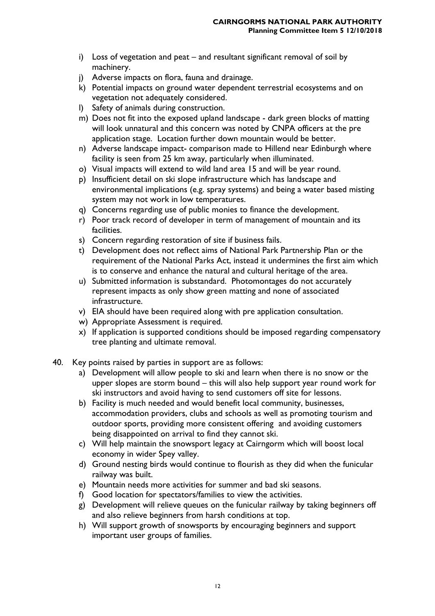- i) Loss of vegetation and peat and resultant significant removal of soil by machinery.
- j) Adverse impacts on flora, fauna and drainage.
- k) Potential impacts on ground water dependent terrestrial ecosystems and on vegetation not adequately considered.
- l) Safety of animals during construction.
- m) Does not fit into the exposed upland landscape dark green blocks of matting will look unnatural and this concern was noted by CNPA officers at the pre application stage. Location further down mountain would be better.
- n) Adverse landscape impact- comparison made to Hillend near Edinburgh where facility is seen from 25 km away, particularly when illuminated.
- o) Visual impacts will extend to wild land area 15 and will be year round.
- p) Insufficient detail on ski slope infrastructure which has landscape and environmental implications (e.g. spray systems) and being a water based misting system may not work in low temperatures.
- q) Concerns regarding use of public monies to finance the development.
- r) Poor track record of developer in term of management of mountain and its facilities.
- s) Concern regarding restoration of site if business fails.
- t) Development does not reflect aims of National Park Partnership Plan or the requirement of the National Parks Act, instead it undermines the first aim which is to conserve and enhance the natural and cultural heritage of the area.
- u) Submitted information is substandard. Photomontages do not accurately represent impacts as only show green matting and none of associated infrastructure.
- v) EIA should have been required along with pre application consultation.
- w) Appropriate Assessment is required.
- x) If application is supported conditions should be imposed regarding compensatory tree planting and ultimate removal.
- 40. Key points raised by parties in support are as follows:
	- a) Development will allow people to ski and learn when there is no snow or the upper slopes are storm bound – this will also help support year round work for ski instructors and avoid having to send customers off site for lessons.
	- b) Facility is much needed and would benefit local community, businesses, accommodation providers, clubs and schools as well as promoting tourism and outdoor sports, providing more consistent offering and avoiding customers being disappointed on arrival to find they cannot ski.
	- c) Will help maintain the snowsport legacy at Cairngorm which will boost local economy in wider Spey valley.
	- d) Ground nesting birds would continue to flourish as they did when the funicular railway was built.
	- e) Mountain needs more activities for summer and bad ski seasons.
	- f) Good location for spectators/families to view the activities.
	- g) Development will relieve queues on the funicular railway by taking beginners off and also relieve beginners from harsh conditions at top.
	- h) Will support growth of snowsports by encouraging beginners and support important user groups of families.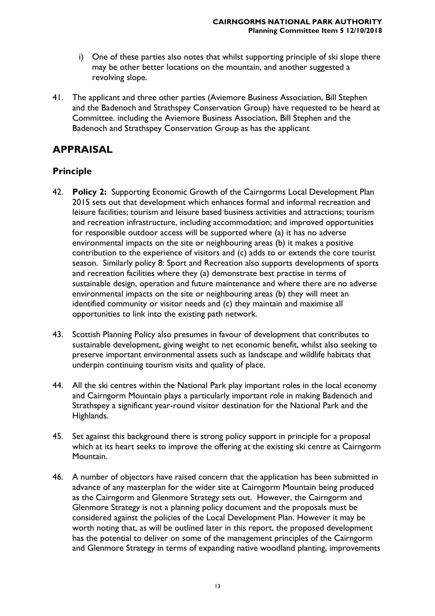- i) One of these parties also notes that whilst supporting principle of ski slope there may be other better locations on the mountain, and another suggested a revolving slope.
- 41. The applicant and three other parties (Aviemore Business Association, Bill Stephen and the Badenoch and Strathspey Conservation Group) have requested to be heard at Committee. including the Aviemore Business Association, Bill Stephen and the Badenoch and Strathspey Conservation Group as has the applicant

### **APPRAISAL**

### **Principle**

- 42. **Policy 2:** Supporting Economic Growth of the Cairngorms Local Development Plan 2015 sets out that development which enhances formal and informal recreation and leisure facilities; tourism and leisure based business activities and attractions; tourism and recreation infrastructure, including accommodation; and improved opportunities for responsible outdoor access will be supported where (a) it has no adverse environmental impacts on the site or neighbouring areas (b) it makes a positive contribution to the experience of visitors and (c) adds to or extends the core tourist season. Similarly policy 8: Sport and Recreation also supports developments of sports and recreation facilities where they (a) demonstrate best practise in terms of sustainable design, operation and future maintenance and where there are no adverse environmental impacts on the site or neighbouring areas (b) they will meet an identified community or visitor needs and (c) they maintain and maximise all opportunities to link into the existing path network.
- 43. Scottish Planning Policy also presumes in favour of development that contributes to sustainable development, giving weight to net economic benefit, whilst also seeking to preserve important environmental assets such as landscape and wildlife habitats that underpin continuing tourism visits and quality of place.
- 44. All the ski centres within the National Park play important roles in the local economy and Cairngorm Mountain plays a particularly important role in making Badenoch and Strathspey a significant year-round visitor destination for the National Park and the Highlands.
- 45. Set against this background there is strong policy support in principle for a proposal which at its heart seeks to improve the offering at the existing ski centre at Cairngorm Mountain.
- 46. A number of objectors have raised concern that the application has been submitted in advance of any masterplan for the wider site at Cairngorm Mountain being produced as the Cairngorm and Glenmore Strategy sets out. However, the Cairngorm and Glenmore Strategy is not a planning policy document and the proposals must be considered against the policies of the Local Development Plan. However it may be worth noting that, as will be outlined later in this report, the proposed development has the potential to deliver on some of the management principles of the Cairngorm and Glenmore Strategy in terms of expanding native woodland planting, improvements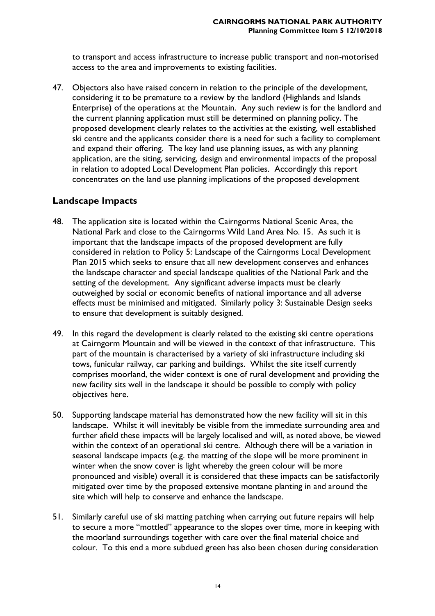to transport and access infrastructure to increase public transport and non-motorised access to the area and improvements to existing facilities.

47. Objectors also have raised concern in relation to the principle of the development, considering it to be premature to a review by the landlord (Highlands and Islands Enterprise) of the operations at the Mountain. Any such review is for the landlord and the current planning application must still be determined on planning policy. The proposed development clearly relates to the activities at the existing, well established ski centre and the applicants consider there is a need for such a facility to complement and expand their offering. The key land use planning issues, as with any planning application, are the siting, servicing, design and environmental impacts of the proposal in relation to adopted Local Development Plan policies. Accordingly this report concentrates on the land use planning implications of the proposed development

### **Landscape Impacts**

- 48. The application site is located within the Cairngorms National Scenic Area, the National Park and close to the Cairngorms Wild Land Area No. 15. As such it is important that the landscape impacts of the proposed development are fully considered in relation to Policy 5: Landscape of the Cairngorms Local Development Plan 2015 which seeks to ensure that all new development conserves and enhances the landscape character and special landscape qualities of the National Park and the setting of the development. Any significant adverse impacts must be clearly outweighed by social or economic benefits of national importance and all adverse effects must be minimised and mitigated. Similarly policy 3: Sustainable Design seeks to ensure that development is suitably designed.
- 49. In this regard the development is clearly related to the existing ski centre operations at Cairngorm Mountain and will be viewed in the context of that infrastructure. This part of the mountain is characterised by a variety of ski infrastructure including ski tows, funicular railway, car parking and buildings. Whilst the site itself currently comprises moorland, the wider context is one of rural development and providing the new facility sits well in the landscape it should be possible to comply with policy objectives here.
- 50. Supporting landscape material has demonstrated how the new facility will sit in this landscape. Whilst it will inevitably be visible from the immediate surrounding area and further afield these impacts will be largely localised and will, as noted above, be viewed within the context of an operational ski centre. Although there will be a variation in seasonal landscape impacts (e.g. the matting of the slope will be more prominent in winter when the snow cover is light whereby the green colour will be more pronounced and visible) overall it is considered that these impacts can be satisfactorily mitigated over time by the proposed extensive montane planting in and around the site which will help to conserve and enhance the landscape.
- 51. Similarly careful use of ski matting patching when carrying out future repairs will help to secure a more "mottled" appearance to the slopes over time, more in keeping with the moorland surroundings together with care over the final material choice and colour. To this end a more subdued green has also been chosen during consideration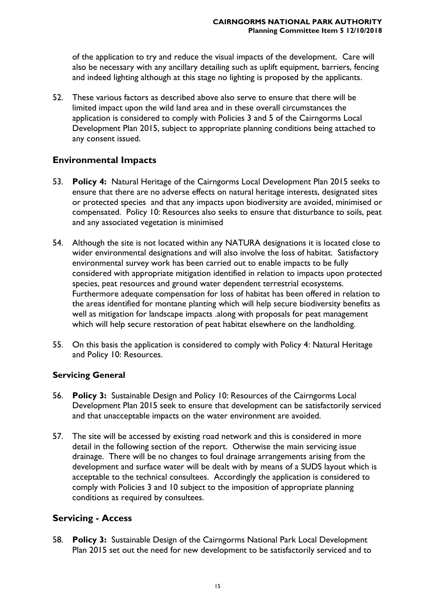of the application to try and reduce the visual impacts of the development. Care will also be necessary with any ancillary detailing such as uplift equipment, barriers, fencing and indeed lighting although at this stage no lighting is proposed by the applicants.

52. These various factors as described above also serve to ensure that there will be limited impact upon the wild land area and in these overall circumstances the application is considered to comply with Policies 3 and 5 of the Cairngorms Local Development Plan 2015, subject to appropriate planning conditions being attached to any consent issued.

### **Environmental Impacts**

- 53. **Policy 4:** Natural Heritage of the Cairngorms Local Development Plan 2015 seeks to ensure that there are no adverse effects on natural heritage interests, designated sites or protected species and that any impacts upon biodiversity are avoided, minimised or compensated. Policy 10: Resources also seeks to ensure that disturbance to soils, peat and any associated vegetation is minimised
- 54. Although the site is not located within any NATURA designations it is located close to wider environmental designations and will also involve the loss of habitat. Satisfactory environmental survey work has been carried out to enable impacts to be fully considered with appropriate mitigation identified in relation to impacts upon protected species, peat resources and ground water dependent terrestrial ecosystems. Furthermore adequate compensation for loss of habitat has been offered in relation to the areas identified for montane planting which will help secure biodiversity benefits as well as mitigation for landscape impacts .along with proposals for peat management which will help secure restoration of peat habitat elsewhere on the landholding.
- 55. On this basis the application is considered to comply with Policy 4: Natural Heritage and Policy 10: Resources.

### **Servicing General**

- 56. **Policy 3:** Sustainable Design and Policy 10: Resources of the Cairngorms Local Development Plan 2015 seek to ensure that development can be satisfactorily serviced and that unacceptable impacts on the water environment are avoided.
- 57. The site will be accessed by existing road network and this is considered in more detail in the following section of the report. Otherwise the main servicing issue drainage. There will be no changes to foul drainage arrangements arising from the development and surface water will be dealt with by means of a SUDS layout which is acceptable to the technical consultees. Accordingly the application is considered to comply with Policies 3 and 10 subject to the imposition of appropriate planning conditions as required by consultees.

### **Servicing - Access**

58. **Policy 3:** Sustainable Design of the Cairngorms National Park Local Development Plan 2015 set out the need for new development to be satisfactorily serviced and to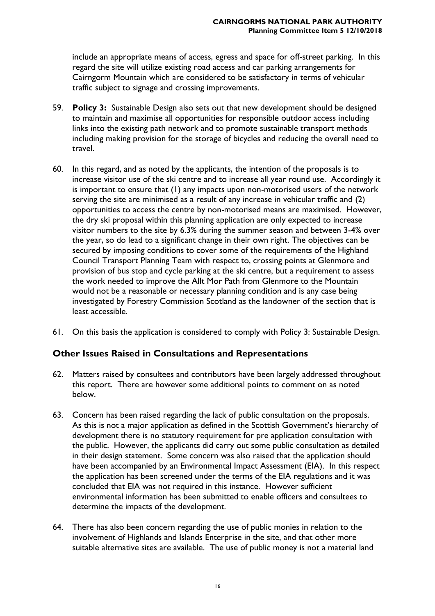include an appropriate means of access, egress and space for off-street parking. In this regard the site will utilize existing road access and car parking arrangements for Cairngorm Mountain which are considered to be satisfactory in terms of vehicular traffic subject to signage and crossing improvements.

- 59. **Policy 3:** Sustainable Design also sets out that new development should be designed to maintain and maximise all opportunities for responsible outdoor access including links into the existing path network and to promote sustainable transport methods including making provision for the storage of bicycles and reducing the overall need to travel.
- 60. In this regard, and as noted by the applicants, the intention of the proposals is to increase visitor use of the ski centre and to increase all year round use. Accordingly it is important to ensure that (1) any impacts upon non-motorised users of the network serving the site are minimised as a result of any increase in vehicular traffic and (2) opportunities to access the centre by non-motorised means are maximised. However, the dry ski proposal within this planning application are only expected to increase visitor numbers to the site by 6.3% during the summer season and between 3-4% over the year, so do lead to a significant change in their own right. The objectives can be secured by imposing conditions to cover some of the requirements of the Highland Council Transport Planning Team with respect to, crossing points at Glenmore and provision of bus stop and cycle parking at the ski centre, but a requirement to assess the work needed to improve the Allt Mor Path from Glenmore to the Mountain would not be a reasonable or necessary planning condition and is any case being investigated by Forestry Commission Scotland as the landowner of the section that is least accessible.
- 61. On this basis the application is considered to comply with Policy 3: Sustainable Design.

### **Other Issues Raised in Consultations and Representations**

- 62. Matters raised by consultees and contributors have been largely addressed throughout this report. There are however some additional points to comment on as noted below.
- 63. Concern has been raised regarding the lack of public consultation on the proposals. As this is not a major application as defined in the Scottish Government's hierarchy of development there is no statutory requirement for pre application consultation with the public. However, the applicants did carry out some public consultation as detailed in their design statement. Some concern was also raised that the application should have been accompanied by an Environmental Impact Assessment (EIA). In this respect the application has been screened under the terms of the EIA regulations and it was concluded that EIA was not required in this instance. However sufficient environmental information has been submitted to enable officers and consultees to determine the impacts of the development.
- 64. There has also been concern regarding the use of public monies in relation to the involvement of Highlands and Islands Enterprise in the site, and that other more suitable alternative sites are available. The use of public money is not a material land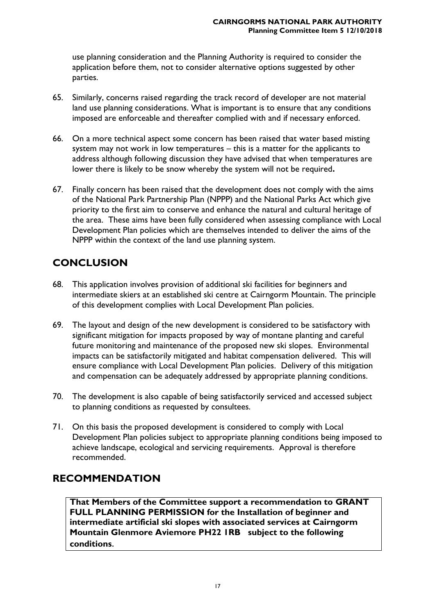use planning consideration and the Planning Authority is required to consider the application before them, not to consider alternative options suggested by other parties.

- 65. Similarly, concerns raised regarding the track record of developer are not material land use planning considerations. What is important is to ensure that any conditions imposed are enforceable and thereafter complied with and if necessary enforced.
- 66. On a more technical aspect some concern has been raised that water based misting system may not work in low temperatures – this is a matter for the applicants to address although following discussion they have advised that when temperatures are lower there is likely to be snow whereby the system will not be required**.**
- 67. Finally concern has been raised that the development does not comply with the aims of the National Park Partnership Plan (NPPP) and the National Parks Act which give priority to the first aim to conserve and enhance the natural and cultural heritage of the area. These aims have been fully considered when assessing compliance with Local Development Plan policies which are themselves intended to deliver the aims of the NPPP within the context of the land use planning system.

# **CONCLUSION**

- 68. This application involves provision of additional ski facilities for beginners and intermediate skiers at an established ski centre at Cairngorm Mountain. The principle of this development complies with Local Development Plan policies.
- 69. The layout and design of the new development is considered to be satisfactory with significant mitigation for impacts proposed by way of montane planting and careful future monitoring and maintenance of the proposed new ski slopes. Environmental impacts can be satisfactorily mitigated and habitat compensation delivered. This will ensure compliance with Local Development Plan policies. Delivery of this mitigation and compensation can be adequately addressed by appropriate planning conditions.
- 70. The development is also capable of being satisfactorily serviced and accessed subject to planning conditions as requested by consultees.
- 71. On this basis the proposed development is considered to comply with Local Development Plan policies subject to appropriate planning conditions being imposed to achieve landscape, ecological and servicing requirements. Approval is therefore recommended.

## **RECOMMENDATION**

**That Members of the Committee support a recommendation to GRANT FULL PLANNING PERMISSION for the Installation of beginner and intermediate artificial ski slopes with associated services at Cairngorm Mountain Glenmore Aviemore PH22 1RB subject to the following conditions**.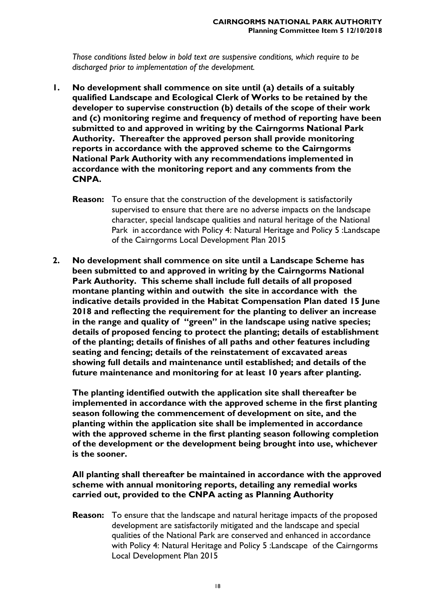*Those conditions listed below in bold text are suspensive conditions, which require to be discharged prior to implementation of the development.*

- **1. No development shall commence on site until (a) details of a suitably qualified Landscape and Ecological Clerk of Works to be retained by the developer to supervise construction (b) details of the scope of their work and (c) monitoring regime and frequency of method of reporting have been submitted to and approved in writing by the Cairngorms National Park Authority. Thereafter the approved person shall provide monitoring reports in accordance with the approved scheme to the Cairngorms National Park Authority with any recommendations implemented in accordance with the monitoring report and any comments from the CNPA.**
	- **Reason:** To ensure that the construction of the development is satisfactorily supervised to ensure that there are no adverse impacts on the landscape character, special landscape qualities and natural heritage of the National Park in accordance with Policy 4: Natural Heritage and Policy 5 :Landscape of the Cairngorms Local Development Plan 2015
- **2. No development shall commence on site until a Landscape Scheme has been submitted to and approved in writing by the Cairngorms National Park Authority. This scheme shall include full details of all proposed montane planting within and outwith the site in accordance with the indicative details provided in the Habitat Compensation Plan dated 15 June 2018 and reflecting the requirement for the planting to deliver an increase in the range and quality of "green" in the landscape using native species; details of proposed fencing to protect the planting; details of establishment of the planting; details of finishes of all paths and other features including seating and fencing; details of the reinstatement of excavated areas showing full details and maintenance until established; and details of the future maintenance and monitoring for at least 10 years after planting.**

**The planting identified outwith the application site shall thereafter be implemented in accordance with the approved scheme in the first planting season following the commencement of development on site, and the planting within the application site shall be implemented in accordance with the approved scheme in the first planting season following completion of the development or the development being brought into use, whichever is the sooner.**

**All planting shall thereafter be maintained in accordance with the approved scheme with annual monitoring reports, detailing any remedial works carried out, provided to the CNPA acting as Planning Authority** 

**Reason:** To ensure that the landscape and natural heritage impacts of the proposed development are satisfactorily mitigated and the landscape and special qualities of the National Park are conserved and enhanced in accordance with Policy 4: Natural Heritage and Policy 5 :Landscape of the Cairngorms Local Development Plan 2015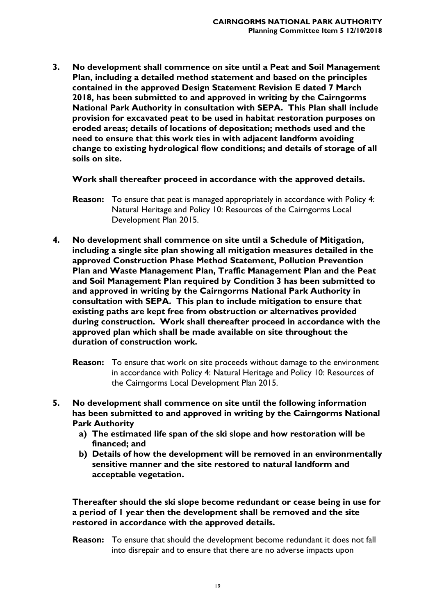**3. No development shall commence on site until a Peat and Soil Management Plan, including a detailed method statement and based on the principles contained in the approved Design Statement Revision E dated 7 March 2018, has been submitted to and approved in writing by the Cairngorms National Park Authority in consultation with SEPA. This Plan shall include provision for excavated peat to be used in habitat restoration purposes on eroded areas; details of locations of depositation; methods used and the need to ensure that this work ties in with adjacent landform avoiding change to existing hydrological flow conditions; and details of storage of all soils on site.**

**Work shall thereafter proceed in accordance with the approved details.**

- **Reason:** To ensure that peat is managed appropriately in accordance with Policy 4: Natural Heritage and Policy 10: Resources of the Cairngorms Local Development Plan 2015.
- **4. No development shall commence on site until a Schedule of Mitigation, including a single site plan showing all mitigation measures detailed in the approved Construction Phase Method Statement, Pollution Prevention Plan and Waste Management Plan, Traffic Management Plan and the Peat and Soil Management Plan required by Condition 3 has been submitted to and approved in writing by the Cairngorms National Park Authority in consultation with SEPA. This plan to include mitigation to ensure that existing paths are kept free from obstruction or alternatives provided during construction. Work shall thereafter proceed in accordance with the approved plan which shall be made available on site throughout the duration of construction work.**
	- **Reason:** To ensure that work on site proceeds without damage to the environment in accordance with Policy 4: Natural Heritage and Policy 10: Resources of the Cairngorms Local Development Plan 2015.
- **5. No development shall commence on site until the following information has been submitted to and approved in writing by the Cairngorms National Park Authority** 
	- **a) The estimated life span of the ski slope and how restoration will be financed; and**
	- **b) Details of how the development will be removed in an environmentally sensitive manner and the site restored to natural landform and acceptable vegetation.**

**Thereafter should the ski slope become redundant or cease being in use for a period of 1 year then the development shall be removed and the site restored in accordance with the approved details.**

**Reason:** To ensure that should the development become redundant it does not fall into disrepair and to ensure that there are no adverse impacts upon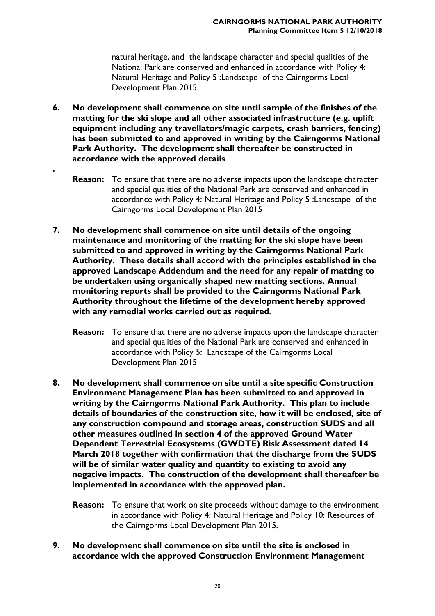natural heritage, and the landscape character and special qualities of the National Park are conserved and enhanced in accordance with Policy 4: Natural Heritage and Policy 5 :Landscape of the Cairngorms Local Development Plan 2015

**6. No development shall commence on site until sample of the finishes of the matting for the ski slope and all other associated infrastructure (e.g. uplift equipment including any travellators/magic carpets, crash barriers, fencing) has been submitted to and approved in writing by the Cairngorms National Park Authority. The development shall thereafter be constructed in accordance with the approved details**

**.**

- **Reason:** To ensure that there are no adverse impacts upon the landscape character and special qualities of the National Park are conserved and enhanced in accordance with Policy 4: Natural Heritage and Policy 5 :Landscape of the Cairngorms Local Development Plan 2015
- **7. No development shall commence on site until details of the ongoing maintenance and monitoring of the matting for the ski slope have been submitted to and approved in writing by the Cairngorms National Park Authority. These details shall accord with the principles established in the approved Landscape Addendum and the need for any repair of matting to be undertaken using organically shaped new matting sections. Annual monitoring reports shall be provided to the Cairngorms National Park Authority throughout the lifetime of the development hereby approved with any remedial works carried out as required.** 
	- **Reason:** To ensure that there are no adverse impacts upon the landscape character and special qualities of the National Park are conserved and enhanced in accordance with Policy 5: Landscape of the Cairngorms Local Development Plan 2015
- **8. No development shall commence on site until a site specific Construction Environment Management Plan has been submitted to and approved in writing by the Cairngorms National Park Authority. This plan to include details of boundaries of the construction site, how it will be enclosed, site of any construction compound and storage areas, construction SUDS and all other measures outlined in section 4 of the approved Ground Water Dependent Terrestrial Ecosystems (GWDTE) Risk Assessment dated 14 March 2018 together with confirmation that the discharge from the SUDS will be of similar water quality and quantity to existing to avoid any negative impacts. The construction of the development shall thereafter be implemented in accordance with the approved plan.**
	- **Reason:** To ensure that work on site proceeds without damage to the environment in accordance with Policy 4: Natural Heritage and Policy 10: Resources of the Cairngorms Local Development Plan 2015.
- **9. No development shall commence on site until the site is enclosed in accordance with the approved Construction Environment Management**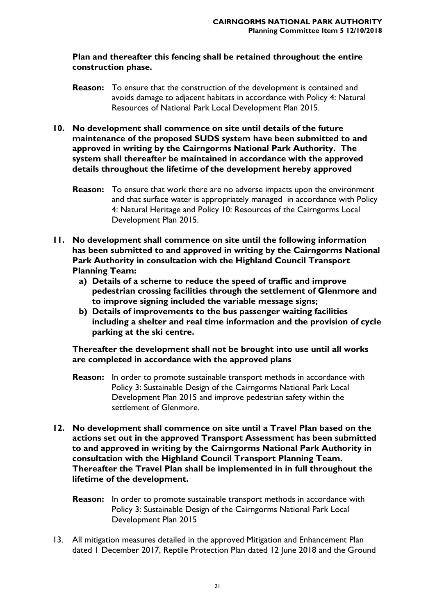#### **Plan and thereafter this fencing shall be retained throughout the entire construction phase.**

- **Reason:** To ensure that the construction of the development is contained and avoids damage to adjacent habitats in accordance with Policy 4: Natural Resources of National Park Local Development Plan 2015.
- **10. No development shall commence on site until details of the future maintenance of the proposed SUDS system have been submitted to and approved in writing by the Cairngorms National Park Authority. The system shall thereafter be maintained in accordance with the approved details throughout the lifetime of the development hereby approved**
	- **Reason:** To ensure that work there are no adverse impacts upon the environment and that surface water is appropriately managed in accordance with Policy 4: Natural Heritage and Policy 10: Resources of the Cairngorms Local Development Plan 2015.
- **11. No development shall commence on site until the following information has been submitted to and approved in writing by the Cairngorms National Park Authority in consultation with the Highland Council Transport Planning Team:**
	- **a) Details of a scheme to reduce the speed of traffic and improve pedestrian crossing facilities through the settlement of Glenmore and to improve signing included the variable message signs;**
	- **b) Details of improvements to the bus passenger waiting facilities including a shelter and real time information and the provision of cycle parking at the ski centre.**

**Thereafter the development shall not be brought into use until all works are completed in accordance with the approved plans** 

- **Reason:** In order to promote sustainable transport methods in accordance with Policy 3: Sustainable Design of the Cairngorms National Park Local Development Plan 2015 and improve pedestrian safety within the settlement of Glenmore.
- **12. No development shall commence on site until a Travel Plan based on the actions set out in the approved Transport Assessment has been submitted to and approved in writing by the Cairngorms National Park Authority in consultation with the Highland Council Transport Planning Team. Thereafter the Travel Plan shall be implemented in in full throughout the lifetime of the development.**
	- **Reason:** In order to promote sustainable transport methods in accordance with Policy 3: Sustainable Design of the Cairngorms National Park Local Development Plan 2015
- 13. All mitigation measures detailed in the approved Mitigation and Enhancement Plan dated 1 December 2017, Reptile Protection Plan dated 12 June 2018 and the Ground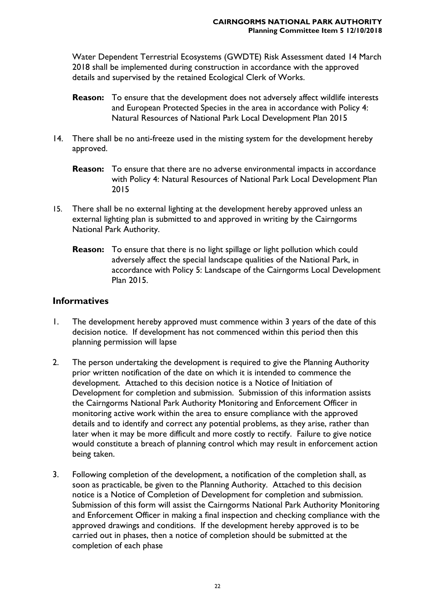Water Dependent Terrestrial Ecosystems (GWDTE) Risk Assessment dated 14 March 2018 shall be implemented during construction in accordance with the approved details and supervised by the retained Ecological Clerk of Works.

- **Reason:** To ensure that the development does not adversely affect wildlife interests and European Protected Species in the area in accordance with Policy 4: Natural Resources of National Park Local Development Plan 2015
- 14. There shall be no anti-freeze used in the misting system for the development hereby approved.
	- **Reason:** To ensure that there are no adverse environmental impacts in accordance with Policy 4: Natural Resources of National Park Local Development Plan 2015
- 15. There shall be no external lighting at the development hereby approved unless an external lighting plan is submitted to and approved in writing by the Cairngorms National Park Authority.
	- **Reason:** To ensure that there is no light spillage or light pollution which could adversely affect the special landscape qualities of the National Park, in accordance with Policy 5: Landscape of the Cairngorms Local Development Plan 2015.

#### **Informatives**

- 1. The development hereby approved must commence within 3 years of the date of this decision notice. If development has not commenced within this period then this planning permission will lapse
- 2. The person undertaking the development is required to give the Planning Authority prior written notification of the date on which it is intended to commence the development. Attached to this decision notice is a Notice of Initiation of Development for completion and submission. Submission of this information assists the Cairngorms National Park Authority Monitoring and Enforcement Officer in monitoring active work within the area to ensure compliance with the approved details and to identify and correct any potential problems, as they arise, rather than later when it may be more difficult and more costly to rectify. Failure to give notice would constitute a breach of planning control which may result in enforcement action being taken.
- 3. Following completion of the development, a notification of the completion shall, as soon as practicable, be given to the Planning Authority. Attached to this decision notice is a Notice of Completion of Development for completion and submission. Submission of this form will assist the Cairngorms National Park Authority Monitoring and Enforcement Officer in making a final inspection and checking compliance with the approved drawings and conditions. If the development hereby approved is to be carried out in phases, then a notice of completion should be submitted at the completion of each phase